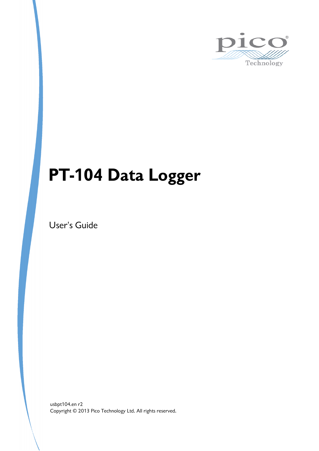

# **PT-104 Data Logger**

User's Guide

Copyright © 2013 Pico Technology Ltd. All rights reserved. usbpt104.en r2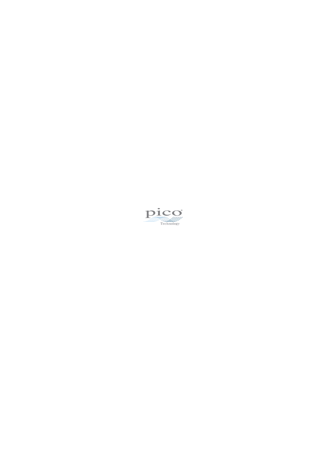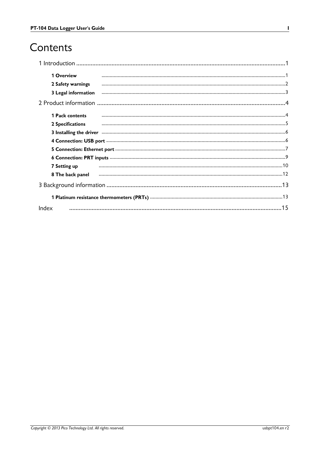# Contents

| 1 Overview          |                                                                                                                |  |
|---------------------|----------------------------------------------------------------------------------------------------------------|--|
| 2 Safety warnings   |                                                                                                                |  |
| 3 Legal information |                                                                                                                |  |
|                     |                                                                                                                |  |
| 1 Pack contents     |                                                                                                                |  |
| 2 Specifications    |                                                                                                                |  |
|                     | 3 Installing the driver manufacture and continuum contract to the driver manufacture of the driver manufacture |  |
|                     |                                                                                                                |  |
|                     |                                                                                                                |  |
|                     |                                                                                                                |  |
| 7 Setting up        |                                                                                                                |  |
| 8 The back panel    |                                                                                                                |  |
|                     |                                                                                                                |  |
|                     |                                                                                                                |  |
| Index               |                                                                                                                |  |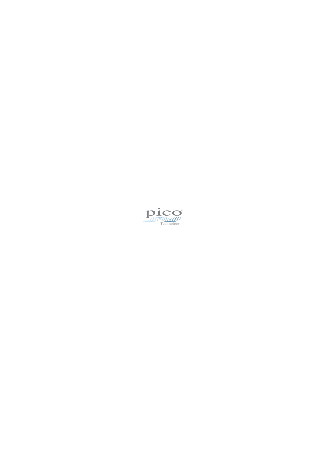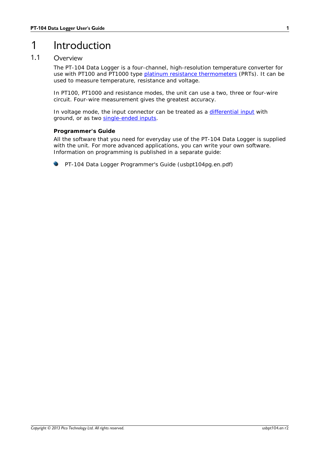# <span id="page-4-0"></span>1 Introduction

### 1.1 Overview

The PT-104 Data Logger is a four-channel, high-resolution temperature converter for use with PT100 and PT1000 type platinum resistance [thermometers](#page-16-0) (PRTs). It can be used to measure temperature, resistance and voltage.

In PT100, PT1000 and resistance modes, the unit can use a two, three or four-wire circuit. Four-wire measurement gives the greatest accuracy.

In voltage mode, the input connector can be treated as a [differential](#page-12-1) input with ground, or as two [single-ended](#page-12-2) inputs.

#### **Programmer's Guide**

All the software that you need for everyday use of the PT-104 Data Logger is supplied with the unit. For more advanced applications, you can write your own software. Information on programming is published in a separate guide:

PT-104 Data Logger Programmer's Guide (usbpt104pg.en.pdf)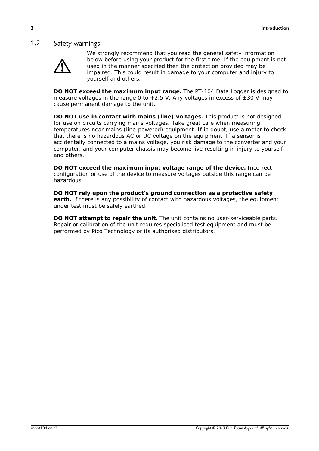#### <span id="page-5-0"></span>1.2 Safety warnings



We strongly recommend that you read the general safety information below before using your product for the first time. If the equipment is not used in the manner specified then the protection provided may be impaired. This could result in damage to your computer and injury to yourself and others.

**DO NOT exceed the maximum input range.** The PT-104 Data Logger is designed to measure voltages in the range 0 to  $+2.5$  V. Any voltages in excess of  $\pm 30$  V may cause permanent damage to the unit.

**DO NOT use in contact with mains (line) voltages.** This product is not designed for use on circuits carrying mains voltages. Take great care when measuring temperatures near mains (line-powered) equipment. If in doubt, use a meter to check that there is no hazardous AC or DC voltage on the equipment. If a sensor is accidentally connected to a mains voltage, you risk damage to the converter and your computer, and your computer chassis may become live resulting in injury to yourself and others.

**DO NOT exceed the maximum input voltage range of the device.** Incorrect configuration or use of the device to measure voltages outside this range can be hazardous.

**DO NOT rely upon the product's ground connection as a protective safety earth.** If there is any possibility of contact with hazardous voltages, the equipment under test must be safely earthed.

**DO NOT attempt to repair the unit.** The unit contains no user-serviceable parts. Repair or calibration of the unit requires specialised test equipment and must be performed by Pico Technology or its authorised distributors.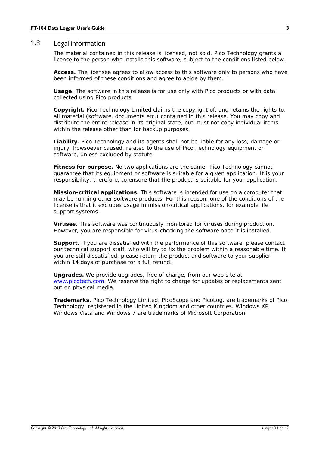#### <span id="page-6-0"></span>1.3 Legal information

The material contained in this release is licensed, not sold. Pico Technology grants a licence to the person who installs this software, subject to the conditions listed below.

**Access.** The licensee agrees to allow access to this software only to persons who have been informed of these conditions and agree to abide by them.

**Usage.** The software in this release is for use only with Pico products or with data collected using Pico products.

**Copyright.** Pico Technology Limited claims the copyright of, and retains the rights to, all material (software, documents etc.) contained in this release. You may copy and distribute the entire release in its original state, but must not copy individual items within the release other than for backup purposes.

**Liability.** Pico Technology and its agents shall not be liable for any loss, damage or injury, howsoever caused, related to the use of Pico Technology equipment or software, unless excluded by statute.

**Fitness for purpose.** No two applications are the same: Pico Technology cannot guarantee that its equipment or software is suitable for a given application. It is your responsibility, therefore, to ensure that the product is suitable for your application.

**Mission-critical applications.** This software is intended for use on a computer that may be running other software products. For this reason, one of the conditions of the license is that it excludes usage in mission-critical applications, for example life support systems.

**Viruses.** This software was continuously monitored for viruses during production. However, you are responsible for virus-checking the software once it is installed.

**Support.** If you are dissatisfied with the performance of this software, please contact our technical support staff, who will try to fix the problem within a reasonable time. If you are still dissatisfied, please return the product and software to your supplier within 14 days of purchase for a full refund.

**Upgrades.** We provide upgrades, free of charge, from our web site at [www.picotech.com](http://www.picotech.com). We reserve the right to charge for updates or replacements sent out on physical media.

**Trademarks.** Pico Technology Limited, PicoScope and PicoLog, are trademarks of Pico Technology, registered in the United Kingdom and other countries. Windows XP, Windows Vista and Windows 7 are trademarks of Microsoft Corporation.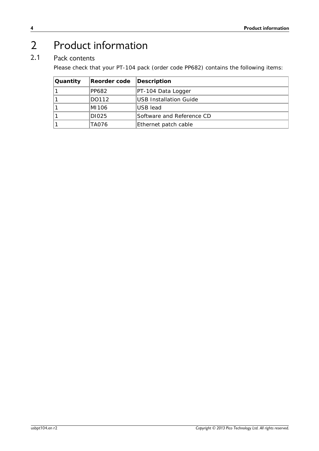# <span id="page-7-0"></span>Product information

# 2.1 Pack contents

Please check that your PT-104 pack (order code PP682) contains the following items:

| Quantity | Reorder code | Description               |
|----------|--------------|---------------------------|
|          | PP682        | PT-104 Data Logger        |
|          | DO112        | USB Installation Guide    |
|          | IMI106       | ∣USB lead                 |
|          | DI025        | Software and Reference CD |
|          | TA076        | Ethernet patch cable      |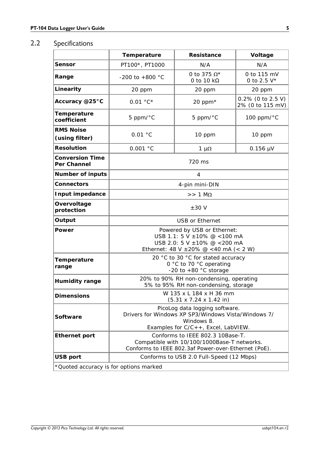### <span id="page-8-0"></span>2.2 Specifications

|                                       | Temperature                                                                                                                                | Resistance                       | Voltage                                  |
|---------------------------------------|--------------------------------------------------------------------------------------------------------------------------------------------|----------------------------------|------------------------------------------|
| Sensor                                | PT100*, PT1000                                                                                                                             | N/A                              | N/A                                      |
| Range                                 | -200 to +800 $^{\circ}$ C                                                                                                                  | 0 to 375 $\Omega^*$<br>0 to 10 k | 0 to 115 mV<br>0 to 2.5 $V^*$            |
| Linearity                             | 20 ppm                                                                                                                                     | 20 ppm                           | 20 ppm                                   |
| Accuracy @25°C                        | $0.01 °C*$                                                                                                                                 | 20 ppm*                          | $0.2\%$ (0 to 2.5 V)<br>2% (0 to 115 mV) |
| Temperature<br>coefficient            | 5 ppm/°C                                                                                                                                   | 5 ppm/°C                         | 100 ppm/°C                               |
| <b>RMS Noise</b><br>(using filter)    | 0.01 °C                                                                                                                                    | 10 ppm                           | 10 ppm                                   |
| Resolution                            | 0.001 °C                                                                                                                                   | $1 \mu\Omega$                    | $0.156 \mu V$                            |
| <b>Conversion Time</b><br>Per Channel |                                                                                                                                            | 720 ms                           |                                          |
| Number of inputs                      |                                                                                                                                            | 4                                |                                          |
| Connectors                            | 4-pin mini-DIN                                                                                                                             |                                  |                                          |
| Input impedance                       | $>> 1$ M $\Omega$                                                                                                                          |                                  |                                          |
| Overvoltage<br>protection             | ± 30 V                                                                                                                                     |                                  |                                          |
| Output                                | <b>USB or Ethernet</b>                                                                                                                     |                                  |                                          |
| Power                                 | Powered by USB or Ethernet:<br>USB 1.1: 5 V ±10% @ <100 mA<br>USB 2.0: 5 V ±10% @ <200 mA<br>Ethernet: 48 V ± 20% @ < 40 mA (< 2 W)        |                                  |                                          |
| Temperature<br>range                  | 20 °C to 30 °C for stated accuracy<br>0 °C to 70 °C operating<br>-20 to $+80$ °C storage                                                   |                                  |                                          |
| Humidity range                        | 20% to 90% RH non-condensing, operating<br>5% to 95% RH non-condensing, storage                                                            |                                  |                                          |
| Dimensions                            | W 135 x L 184 x H 36 mm<br>$(5.31 \times 7.24 \times 1.42 \text{ in})$                                                                     |                                  |                                          |
| Software                              | PicoLog data logging software.<br>Drivers for Windows XP SP3/Windows Vista/Windows 7/<br>Windows 8.<br>Examples for C/C++, Excel, LabVIEW. |                                  |                                          |
|                                       | Conforms to IEEE 802.3 10Base-T.<br>Compatible with 10/100/1000Base-T networks.<br>Conforms to IEEE 802.3af Power-over-Ethernet (PoE).     |                                  |                                          |
| Ethernet port                         |                                                                                                                                            |                                  |                                          |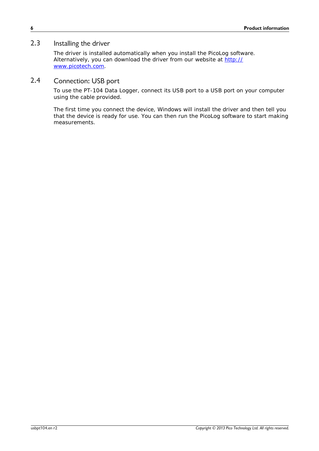#### <span id="page-9-0"></span>2.3 Installing the driver

The driver is installed automatically when you install the PicoLog software. Alternatively, you can download the driver from our website at [http://](http://www.picotech.com) [www.picotech.com](http://www.picotech.com).

#### <span id="page-9-1"></span>2.4 Connection: USB port

To use the PT-104 Data Logger, connect its USB port to a USB port on your computer using the cable provided.

The first time you connect the device, Windows will install the driver and then tell you that the device is ready for use. You can then run the PicoLog software to start making measurements.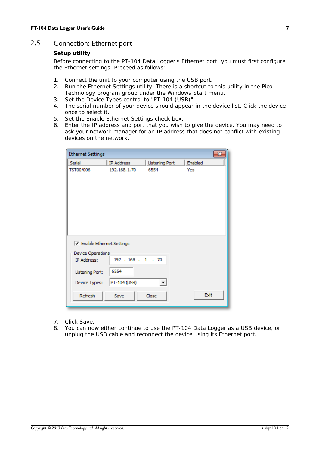#### <span id="page-10-0"></span>2.5 Connection: Ethernet port

#### **Setup utility**

Before connecting to the PT-104 Data Logger's Ethernet port, you must first configure the Ethernet settings. Proceed as follows:

- 1. Connect the unit to your computer using the USB port.
- 2. Run the *Ethernet Settings* utility. There is a shortcut to this utility in the *Pico Technology* program group under the Windows *Start* menu.
- 3. Set the *Device Types* control to "PT-104 (USB)".
- 4. The serial number of your device should appear in the device list. Click the device once to select it.
- 5. Set the *Enable Ethernet Settings* check box.
- 6. Enter the IP address and port that you wish to give the device. You may need to ask your network manager for an IP address that does not conflict with existing devices on the network.

| <b>Ethernet Settings</b>   |              |                          | ×       |
|----------------------------|--------------|--------------------------|---------|
| Serial                     | IP Address   | <b>Listening Port</b>    | Enabled |
| TST00/006                  | 192.168.1.70 | 6554                     | Yes     |
| □ Enable Ethernet Settings |              |                          |         |
| Device Operations          |              |                          |         |
| IP Address:                | 192.168.1.70 |                          |         |
| Listening Port:            | 6554         |                          |         |
| Device Types:              | PT-104 (USB) | $\overline{\phantom{a}}$ |         |
| Refresh                    | Save         | Close                    | Exit    |

- 7. Click *Save.*
- 8. You can now either continue to use the PT-104 Data Logger as a USB device, or unplug the USB cable and reconnect the device using its Ethernet port.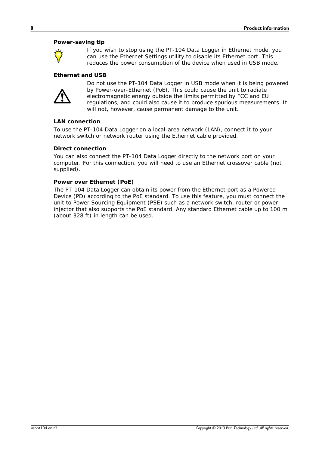#### **Power-saving tip**



If you wish to stop using the PT-104 Data Logger in Ethernet mode, you can use the *Ethernet Settings* utility to disable its Ethernet port. This reduces the power consumption of the device when used in USB mode.

#### **Ethernet and USB**



Do not use the PT-104 Data Logger in USB mode when it is being powered by Power-over-Ethernet (PoE). This could cause the unit to radiate electromagnetic energy outside the limits permitted by FCC and EU regulations, and could also cause it to produce spurious measurements. It will not, however, cause permanent damage to the unit.

#### **LAN connection**

To use the PT-104 Data Logger on a local-area network (LAN), connect it to your network switch or network router using the Ethernet cable provided.

#### **Direct connection**

You can also connect the PT-104 Data Logger directly to the network port on your computer. For this connection, you will need to use an Ethernet crossover cable (not supplied).

#### **Power over Ethernet (PoE)**

The PT-104 Data Logger can obtain its power from the Ethernet port as a Powered Device (PD) according to the PoE standard. To use this feature, you must connect the unit to Power Sourcing Equipment (PSE) such as a network switch, router or power injector that also supports the PoE standard. Any standard Ethernet cable up to 100 m (about 328 ft) in length can be used.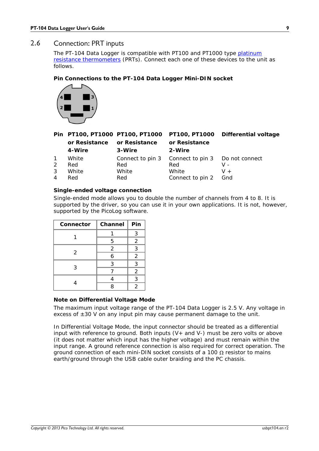#### <span id="page-12-0"></span>2.6 Connection: PRT inputs

The PT-104 Data Logger is compatible with PT100 and PT1000 type [platinum](#page-16-0) resistance [thermometers](#page-16-0) (PRTs). Connect each one of these devices to the unit as follows.

**Pin Connections to the PT-104 Data Logger Mini-DIN socket**



|                |        |                                           |                                                  | Pin PT100, PT1000 PT100, PT1000 PT100, PT1000 Differential voltage |
|----------------|--------|-------------------------------------------|--------------------------------------------------|--------------------------------------------------------------------|
|                |        | or Resistance or Resistance or Resistance |                                                  |                                                                    |
|                | 4-Wire | 3-Wire                                    | 2-Wire                                           |                                                                    |
| $\mathbf{1}$   | White  |                                           | Connect to pin 3 Connect to pin 3 Do not connect |                                                                    |
| 2              | Red    | Red                                       | Red                                              | v -                                                                |
| 3              | White  | White                                     | White                                            | $V +$                                                              |
| $\overline{4}$ | Red    | Red                                       | Connect to pin 2 Gnd                             |                                                                    |

#### <span id="page-12-2"></span>**Single-ended voltage connection**

Single-ended mode allows you to double the number of channels from 4 to 8. It is supported by the driver, so you can use it in your own applications. It is not, however, supported by the PicoLog software.

| Connector | Channel        | Pin            |
|-----------|----------------|----------------|
|           |                | 3              |
|           | 5              | $\overline{2}$ |
|           | $\overline{2}$ | 3              |
| 2         | 6              | 2              |
| 3         | 3              | 3              |
|           |                | 2              |
|           |                | 3              |
|           |                | 2              |

#### <span id="page-12-1"></span>**Note on Differential Voltage Mode**

The maximum input voltage range of the PT-104 Data Logger is 2.5 V. Any voltage in excess of  $\pm 30$  V on any input pin may cause permanent damage to the unit.

In Differential Voltage Mode, the input connector should be treated as a differential input with reference to ground. Both inputs  $(V+$  and  $V-$ ) must be zero volts or above (it does not matter which input has the higher voltage) and must remain within the input range. A ground reference connection is also required for correct operation. The ground connection of each mini-DIN socket consists of a 100  $\Omega$  resistor to mains earth/ground through the USB cable outer braiding and the PC chassis.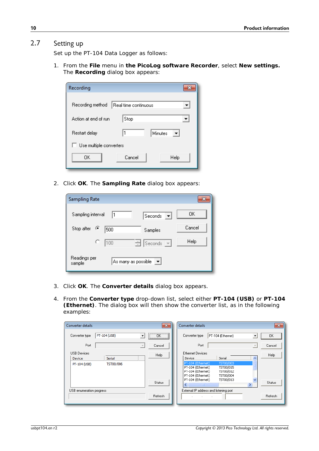#### <span id="page-13-0"></span>2.7 Setting up

Set up the PT-104 Data Logger as follows:

1. From the **File** menu in **the PicoLog software Recorder**, select **New settings.** The **Recording** dialog box appears:

| Recording               |                      |
|-------------------------|----------------------|
| Recording method        | Real time continuous |
| Action at end of run    | Stop                 |
| Restart delay           | 1<br>Minutes         |
| Use multiple converters |                      |
| ΟK                      | Cancel<br>Help       |

2. Click **OK**. The **Sampling Rate** dialog box appears:

| <b>Sampling Rate</b>   |                     |                                                      | ж      |
|------------------------|---------------------|------------------------------------------------------|--------|
| Sampling interval      | 11                  | Seconds                                              | OΚ     |
| Stop after<br>G        | 500                 | Samples                                              | Cancel |
| с                      | 100                 | $\frac{2}{\sqrt{2}}$ Seconds<br>$\vert \nabla \vert$ | Help   |
| Readings per<br>sample | As many as possible |                                                      |        |

- 3. Click **OK**. The **Converter details** dialog box appears.
- 4. From the **Converter type** drop-down list, select either **PT-104 (USB)** or **PT-104 (Ethernet)**. The dialog box will then show the converter list, as in the following examples:

| Converter details                                                          | $-23$                    | Converter details                                                                                                                                                                        | $\mathbf{x}$  |
|----------------------------------------------------------------------------|--------------------------|------------------------------------------------------------------------------------------------------------------------------------------------------------------------------------------|---------------|
| PT-104 (USB)<br>Converter type<br>▼                                        | $\sqrt{2}$ ok $\sqrt{2}$ | PT-104 (Ethernet)<br>$\overline{ }$<br>Converter type                                                                                                                                    | OK.           |
| Port<br>$\overline{\mathcal{N}}$                                           | Cancel                   | Port<br>$\overline{\mathcal{A}}$                                                                                                                                                         | Cancel        |
| <b>USB Devices</b><br><b>Serial</b><br>Device<br>TST00/006<br>PT-104 (USB) | Help                     | <b>Ethernet Devices</b><br>Serial<br>Device<br>∧<br>PT-104 (Ethernet)<br>TST00/003<br>PT-104 (Ethernet)<br>TST00/015<br>PT-104 (Ethernet)<br>TST00/012<br>PT-104 (Ethernet)<br>TST00/004 | Help          |
|                                                                            | <b>Status</b>            | PT-104 (Ethernet)<br>TST00/013<br>⋗<br>TIII                                                                                                                                              | <b>Status</b> |
| USB enumeration progress                                                   | Refresh                  | External IP address and listening port                                                                                                                                                   | Refresh       |
|                                                                            |                          | and the company<br>$\sim$                                                                                                                                                                |               |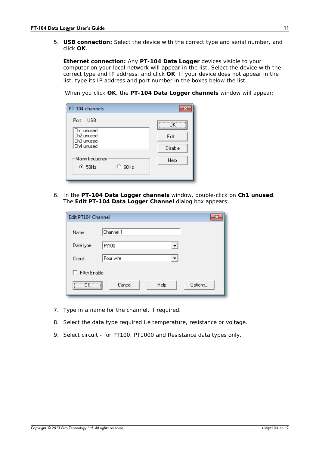5. **USB connection:** Select the device with the correct type and serial number, and click **OK**.

**Ethernet connection:** Any **PT-104 Data Logger** devices visible to your computer on your local network will appear in the list. Select the device with the correct type and IP address, and click **OK**. If your device does not appear in the list, type its IP address and port number in the boxes below the list.

When you click **OK**, the **PT-104 Data Logger channels** window will appear:

| PT-104 channels          |         |
|--------------------------|---------|
| <b>LISB</b><br>Port      | ΠK      |
| Ch1 unused<br>Ch2 unused |         |
| Ch3 unused               | Edit    |
| Ch4 unused               | Disable |
| -Mains frequency         | Help    |
| $\times$ 50Hz<br>60Hz    |         |
|                          |         |

6. In the **PT-104 Data Logger channels** window, double-click on **Ch1 unused**. The **Edit PT-104 Data Logger Channel** dialog box appears:

| Edit PT104 Channel   |                           | × |
|----------------------|---------------------------|---|
| Name                 | Channel 1                 |   |
| Data type            | Pt100<br>▼                |   |
| Circuit              | Four wire<br>▼            |   |
| <b>Filter Enable</b> |                           |   |
| <u></u><br><u>\</u>  | Cancel<br>Help<br>Options |   |

- 7. Type in a name for the channel, if required.
- 8. Select the data type required i.e temperature, resistance or voltage.
- 9. Select circuit for PT100, PT1000 and Resistance data types only.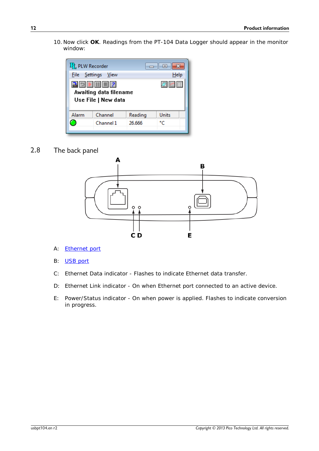10. Now click **OK**. Readings from the PT-104 Data Logger should appear in the monitor window:



<span id="page-15-0"></span>2.8 The back panel



- A: [Ethernet](#page-10-0) port
- B: [USB](#page-9-1) port
- C: Ethernet Data indicator Flashes to indicate Ethernet data transfer.
- D: Ethernet Link indicator On when Ethernet port connected to an active device.
- E: Power/Status indicator On when power is applied. Flashes to indicate conversion in progress.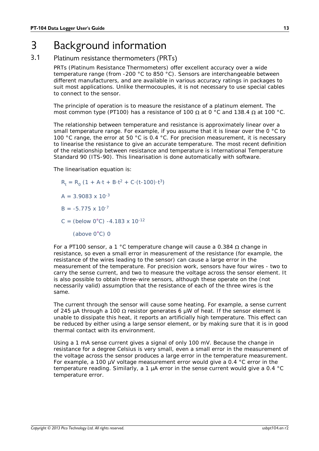# <span id="page-16-0"></span>3 Background information

#### 3.1 Platinum resistance thermometers (PRTs)

PRTs (Platinum Resistance Thermometers) offer excellent accuracy over a wide temperature range (from -200 °C to 850 °C). Sensors are interchangeable between different manufacturers, and are available in various accuracy ratings in packages to suit most applications. Unlike thermocouples, it is not necessary to use special cables to connect to the sensor.

The principle of operation is to measure the resistance of a platinum element. The

most common type (PT100) has a resistance of 100  $\Omega$  at 0 °C and 138.4  $\Omega$  at 100 °C.<br>The relationship between temperature and resistance is approximately linear over a small temperature range. For example, if you assume that it is linear over the 0 °C to 100 °C range, the error at 50 °C is 0.4 °C. For precision measurement, it is necessary to linearise the resistance to give an accurate temperature. The most recent definition of the relationship between resistance and temperature is International Temperature Standard 90 (ITS-90). This linearisation is done automatically with software.

The linearisation equation is:

$$
R_t = R_0 (1 + A \cdot t + B \cdot t^2 + C \cdot (t \cdot 100) \cdot t^3)
$$

$$
A = 3.9083 \times 10^{-3}
$$

- $B = -5.775 \times 10^{-7}$
- $C = (below 0°C) -4.183 \times 10^{-12}$ 
	- (above 0°C) 0

For a PT100 sensor, a 1 °C temperature change will cause a 0.384  $\Omega$  change in resistance, so even a small error in measurement of the resistance (for example, the resistance of the wires leading to the sensor) can cause a large error in the measurement of the temperature. For precision work, sensors have four wires - two to carry the sense current, and two to measure the voltage across the sensor element. It is also possible to obtain three-wire sensors, although these operate on the (not necessarily valid) assumption that the resistance of each of the three wires is the same.

The current through the sensor will cause some heating. For example, a sense current of 245 µA through a 100  $\Omega$  resistor generates 6 µW of heat. If the sensor element is unable to dissipate this heat, it reports an artificially high temperature. This effect can be reduced by either using a large sensor element, or by making sure that it is in good thermal contact with its environment.

Using a 1 mA sense current gives a signal of only 100 mV. Because the change in resistance for a degree Celsius is very small, even a small error in the measurement of the voltage across the sensor produces a large error in the temperature measurement. For example, a 100 µV voltage measurement error would give a 0.4 °C error in the temperature reading. Similarly, a 1 µA error in the sense current would give a 0.4 °C temperature error.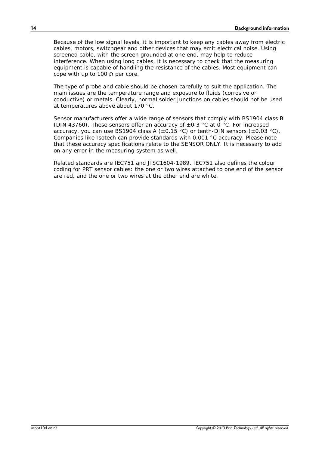Because of the low signal levels, it is important to keep any cables away from electric cables, motors, switchgear and other devices that may emit electrical noise. Using screened cable, with the screen grounded at one end, may help to reduce interference. When using long cables, it is necessary to check that the measuring equipment is capable of handling the resistance of the cables. Most equipment can cope with up to 100  $\Omega$  per core.

The type of probe and cable should be chosen carefully to suit the application. The main issues are the temperature range and exposure to fluids (corrosive or conductive) or metals. Clearly, normal solder junctions on cables should not be used at temperatures above about 170 °C.<br>Sensor manufacturers offer a wide range of sensors that comply with BS1904 class B

(DIN 43760). These sensors offer an accuracy of  $\pm 0.3$  °C at 0 °C. For increased accuracy, you can use BS1904 class A ( $\pm$ 0.15 °C) or tenth-DIN sensors ( $\pm$ 0.03 °C). Companies like Isotech can provide standards with 0.001 °C accuracy. Please note that these accuracy specifications relate to the SENSOR ONLY. It is necessary to add on any error in the measuring system as well.

Related standards are IEC751 and JISC1604-1989. IEC751 also defines the colour coding for PRT sensor cables: the one or two wires attached to one end of the sensor are red, and the one or two wires at the other end are white.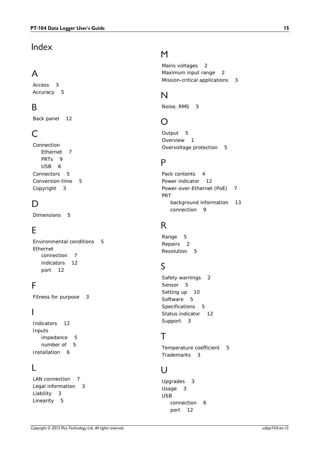# Index

# A

Access 3 Accuracy 5

# B<sub>a</sub>

Back panel 12

# C

Connection Ethernet 7 PRT<sub>s</sub> 9 USB 6 Connectors 5 Conversion time 5 Copyright 3

# D<sub>a</sub>

Dimensions 5

# E

Environmental conditions 5 Ethernet connection 7 indicators 12 port 12

# F<sub>rank</sub>

Fitness for purpose 3

# I

Indicators 12 Inputs impedance 5 number of 5 Installation 6

### L

LAN connection 7 Legal information 3 Liability 3 Linearity 5

# M

Mains voltages 2 Maximum input range 2 Mission-critical applications 3

# N

Noise, RMS 5

# O

Output 5 Overview 1 Overvoltage protection 5

# P<sub>p</sub>

```
Pack contents 4
Power indicator 12
Power-over-Ethernet (PoE) 7
PRT
   background information 13
   connection 9
```
# R

Range 5 Repairs 2 Resolution 5

# S

Safety warnings 2 Sensor 5 Setting up 10 Software 5 Specifications 5 Status indicator 12 Support 3

# T<sub>a</sub>

Temperature coefficient 5 Trademarks 3

# U

Upgrades 3 Usage 3 USB connection 6 port 12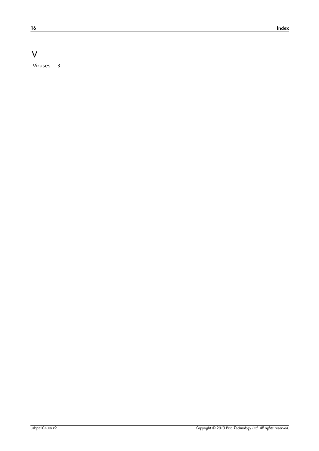# V

Viruses 3